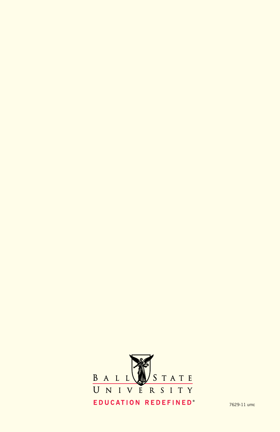

7629-11 umc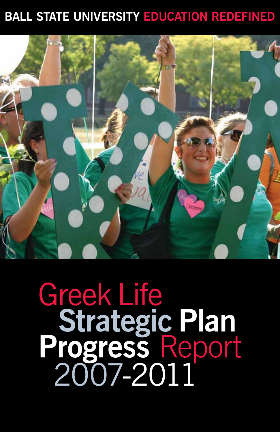### **BALL STATE UNIVERSITY EDUCATION REDEFINED**



# Greek Life **Strategic Plan Progress** Report 2007-2011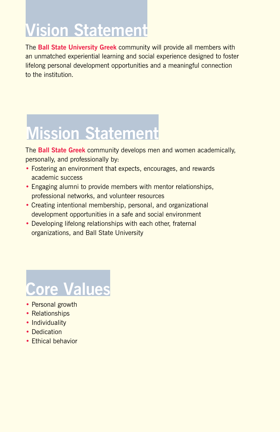### **Vision Statement**

The **Ball State University Greek** community will provide all members with an unmatched experiential learning and social experience designed to foster lifelong personal development opportunities and a meaningful connection to the institution.

## **Mission Statement**

The **Ball State Greek** community develops men and women academically, personally, and professionally by:

- Fostering an environment that expects, encourages, and rewards academic success
- Engaging alumni to provide members with mentor relationships, professional networks, and volunteer resources
- Creating intentional membership, personal, and organizational development opportunities in a safe and social environment
- Developing lifelong relationships with each other, fraternal organizations, and Ball State University

## **Core Values**

- Personal growth
- Relationships
- Individuality
- Dedication
- Ethical behavior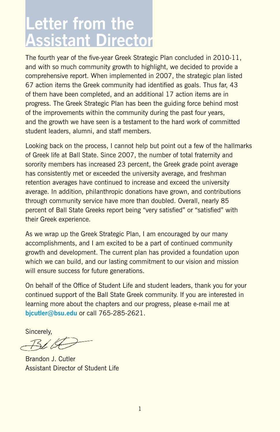### **Letter from the Assistant Director**

The fourth year of the five-year Greek Strategic Plan concluded in 2010-11, and with so much community growth to highlight, we decided to provide a comprehensive report. When implemented in 2007, the strategic plan listed 67 action items the Greek community had identified as goals. Thus far, 43 of them have been completed, and an additional 17 action items are in progress. The Greek Strategic Plan has been the guiding force behind most of the improvements within the community during the past four years, and the growth we have seen is a testament to the hard work of committed student leaders, alumni, and staff members.

Looking back on the process, I cannot help but point out a few of the hallmarks of Greek life at Ball State. Since 2007, the number of total fraternity and sorority members has increased 23 percent, the Greek grade point average has consistently met or exceeded the university average, and freshman retention averages have continued to increase and exceed the university average. In addition, philanthropic donations have grown, and contributions through community service have more than doubled. Overall, nearly 85 percent of Ball State Greeks report being "very satisfied" or "satisfied" with their Greek experience.

As we wrap up the Greek Strategic Plan, I am encouraged by our many accomplishments, and I am excited to be a part of continued community growth and development. The current plan has provided a foundation upon which we can build, and our lasting commitment to our vision and mission will ensure success for future generations.

On behalf of the Office of Student Life and student leaders, thank you for your continued support of the Ball State Greek community. If you are interested in learning more about the chapters and our progress, please e-mail me at **bjcutler@bsu.edu** or call 765-285-2621.

Sincerely,

Brandon J. Cutler Assistant Director of Student Life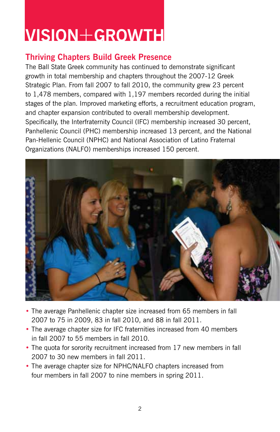### **VISION**+**GROWTH**

#### **Thriving Chapters Build Greek Presence**

The Ball State Greek community has continued to demonstrate significant growth in total membership and chapters throughout the 2007-12 Greek Strategic Plan. From fall 2007 to fall 2010, the community grew 23 percent to 1,478 members, compared with 1,197 members recorded during the initial stages of the plan. Improved marketing efforts, a recruitment education program, and chapter expansion contributed to overall membership development. Specifically, the Interfraternity Council (IFC) membership increased 30 percent, Panhellenic Council (PHC) membership increased 13 percent, and the National Pan-Hellenic Council (NPHC) and National Association of Latino Fraternal Organizations (NALFO) memberships increased 150 percent.



- The average Panhellenic chapter size increased from 65 members in fall 2007 to 75 in 2009, 83 in fall 2010, and 88 in fall 2011.
- The average chapter size for IFC fraternities increased from 40 members in fall 2007 to 55 members in fall 2010.
- The quota for sorority recruitment increased from 17 new members in fall 2007 to 30 new members in fall 2011.
- The average chapter size for NPHC/NALFO chapters increased from four members in fall 2007 to nine members in spring 2011.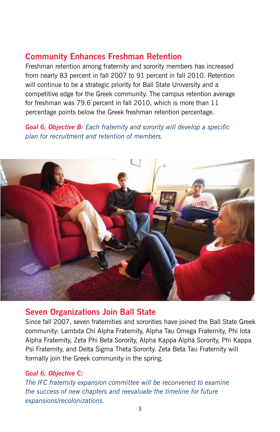#### **Community Enhances Freshman Retention**

Freshman retention among fraternity and sorority members has increased from nearly 83 percent in fall 2007 to 91 percent in fall 2010. Retention will continue to be a strategic priority for Ball State University and a competitive edge for the Greek community. The campus retention average for freshman was 79.6 percent in fall 2010, which is more than 11 percentage points below the Greek freshman retention percentage.

*Goal 6, Objective B: Each fraternity and sorority will develop a specific plan for recruitment and retention of members.* 



#### **Seven Organizations Join Ball State**

Since fall 2007, seven fraternities and sororities have joined the Ball State Greek community: Lambda Chi Alpha Fraternity, Alpha Tau Omega Fraternity, Phi Iota Alpha Fraternity, Zeta Phi Beta Sorority, Alpha Kappa Alpha Sorority, Phi Kappa Psi Fraternity, and Delta Sigma Theta Sorority. Zeta Beta Tau Fraternity will formally join the Greek community in the spring.

#### *Goal 6, Objective C:*

*The IFC fraternity expansion committee will be reconvened to examine the success of new chapters and reevaluate the timeline for future expansions/recolonizations.*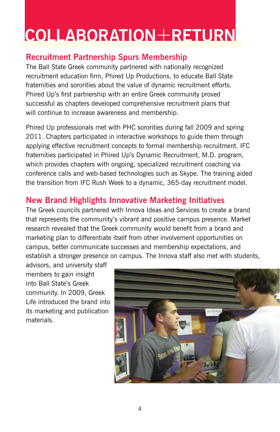### **COLLABORATION**+**RETURN**

#### **Recruitment Partnership Spurs Membership**

The Ball State Greek community partnered with nationally recognized recruitment education firm, Phired Up Productions, to educate Ball State fraternities and sororities about the value of dynamic recruitment efforts. Phired Up's first partnership with an entire Greek community proved successful as chapters developed comprehensive recruitment plans that will continue to increase awareness and membership.

Phired Up professionals met with PHC sororities during fall 2009 and spring 2011. Chapters participated in interactive workshops to guide them through applying effective recruitment concepts to formal membership recruitment. IFC fraternities participated in Phired Up's Dynamic Recruitment, M.D. program, which provides chapters with ongoing, specialized recruitment coaching via conference calls and web-based technologies such as Skype. The training aided the transition from IFC Rush Week to a dynamic, 365-day recruitment model.

#### **New Brand Highlights Innovative Marketing Initiatives**

The Greek councils partnered with Innova Ideas and Services to create a brand that represents the community's vibrant and positive campus presence. Market research revealed that the Greek community would benefit from a brand and marketing plan to differentiate itself from other involvement opportunities on campus, better communicate successes and membership expectations, and establish a stronger presence on campus. The Innova staff also met with students,

advisors, and university staff members to gain insight into Ball State's Greek community. In 2009, Greek Life introduced the brand into its marketing and publication materials.

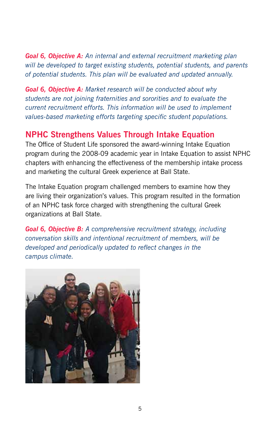*Goal 6, Objective A: An internal and external recruitment marketing plan will be developed to target existing students, potential students, and parents of potential students. This plan will be evaluated and updated annually.*

*Goal 6, Objective A: Market research will be conducted about why students are not joining fraternities and sororities and to evaluate the current recruitment efforts. This information will be used to implement values-based marketing efforts targeting specific student populations.*

#### **NPHC Strengthens Values Through Intake Equation**

The Office of Student Life sponsored the award-winning Intake Equation program during the 2008-09 academic year in Intake Equation to assist NPHC chapters with enhancing the effectiveness of the membership intake process and marketing the cultural Greek experience at Ball State.

The Intake Equation program challenged members to examine how they are living their organization's values. This program resulted in the formation of an NPHC task force charged with strengthening the cultural Greek organizations at Ball State.

*Goal 6, Objective B: A comprehensive recruitment strategy, including conversation skills and intentional recruitment of members, will be developed and periodically updated to reflect changes in the campus climate.*

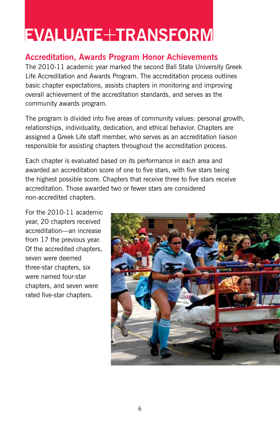### **EVALUATE**+**TRANSFORM**

#### **Accreditation, Awards Program Honor Achievements**

The 2010-11 academic year marked the second Ball State University Greek Life Accreditation and Awards Program. The accreditation process outlines basic chapter expectations, assists chapters in monitoring and improving overall achievement of the accreditation standards, and serves as the community awards program.

The program is divided into five areas of community values: personal growth, relationships, individuality, dedication, and ethical behavior. Chapters are assigned a Greek Life staff member, who serves as an accreditation liaison responsible for assisting chapters throughout the accreditation process.

Each chapter is evaluated based on its performance in each area and awarded an accreditation score of one to five stars, with five stars being the highest possible score. Chapters that receive three to five stars receive accreditation. Those awarded two or fewer stars are considered non-accredited chapters.

For the 2010-11 academic year, 20 chapters received accreditation—an increase from 17 the previous year. Of the accredited chapters, seven were deemed three-star chapters, six were named four-star chapters, and seven were rated five-star chapters.

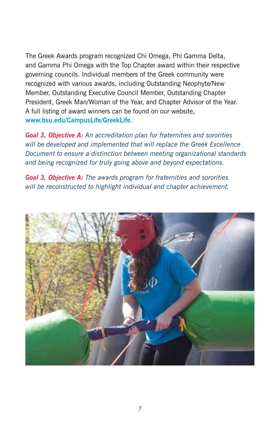The Greek Awards program recognized Chi Omega, Phi Gamma Delta, and Gamma Phi Omega with the Top Chapter award within their respective governing councils. Individual members of the Greek community were recognized with various awards, including Outstanding Neophyte/New Member, Outstanding Executive Council Member, Outstanding Chapter President, Greek Man/Woman of the Year, and Chapter Advisor of the Year. A full listing of award winners can be found on our website, **www.bsu.edu/CampusLife/GreekLife**.

*Goal 3, Objective A: An accreditation plan for fraternities and sororities will be developed and implemented that will replace the Greek Excellence Document to ensure a distinction between meeting organizational standards and being recognized for truly going above and beyond expectations.*

*Goal 3, Objective A: The awards program for fraternities and sororities will be reconstructed to highlight individual and chapter achievement.*

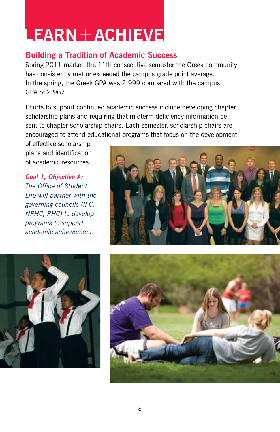### **LEARN**+**ACHIEVE**

#### **Building a Tradition of Academic Success**

Spring 2011 marked the 11th consecutive semester the Greek community has consistently met or exceeded the campus grade point average. In the spring, the Greek GPA was 2.999 compared with the campus GPA of 2.967.

Efforts to support continued academic success include developing chapter scholarship plans and requiring that midterm deficiency information be sent to chapter scholarship chairs. Each semester, scholarship chairs are encouraged to attend educational programs that focus on the development

of effective scholarship plans and identification of academic resources.

*Goal 1, Objective A: The Office of Student Life will partner with the governing councils (IFC, NPHC, PHC) to develop programs to support academic achievement.*





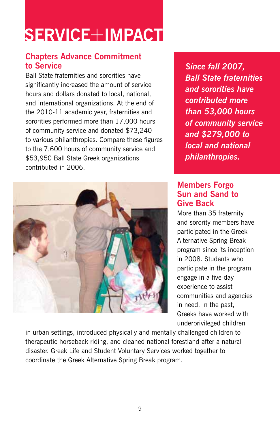### **SERVICE**+**IMPACT**

#### **Chapters Advance Commitment to Service**

Ball State fraternities and sororities have significantly increased the amount of service hours and dollars donated to local, national, and international organizations. At the end of the 2010-11 academic year, fraternities and sororities performed more than 17,000 hours of community service and donated \$73,240 to various philanthropies. Compare these figures to the 7,600 hours of community service and \$53,950 Ball State Greek organizations contributed in 2006.



*Since fall 2007, Ball State fraternities and sororities have contributed more than 53,000 hours of community service and \$279,000 to local and national philanthropies.*

#### **Members Forgo Sun and Sand to Give Back**

More than 35 fraternity and sorority members have participated in the Greek Alternative Spring Break program since its inception in 2008. Students who participate in the program engage in a five-day experience to assist communities and agencies in need. In the past, Greeks have worked with underprivileged children

in urban settings, introduced physically and mentally challenged children to therapeutic horseback riding, and cleaned national forestland after a natural disaster. Greek Life and Student Voluntary Services worked together to coordinate the Greek Alternative Spring Break program.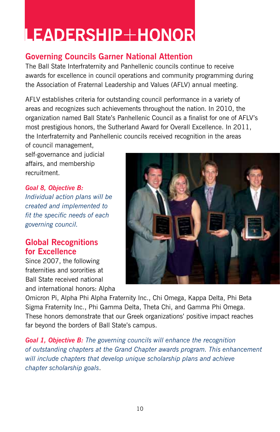### **LEADERSHIP**+**HONOR**

#### **Governing Councils Garner National Attention**

The Ball State Interfraternity and Panhellenic councils continue to receive awards for excellence in council operations and community programming during the Association of Fraternal Leadership and Values (AFLV) annual meeting.

AFLV establishes criteria for outstanding council performance in a variety of areas and recognizes such achievements throughout the nation. In 2010, the organization named Ball State's Panhellenic Council as a finalist for one of AFLV's most prestigious honors, the Sutherland Award for Overall Excellence. In 2011, the Interfraternity and Panhellenic councils received recognition in the areas

of council management, self-governance and judicial affairs, and membership recruitment.

*Goal 8, Objective B: Individual action plans will be created and implemented to fit the specific needs of each governing council.*

#### **Global Recognitions for Excellence**

Since 2007, the following fraternities and sororities at Ball State received national and international honors: Alpha



Omicron Pi, Alpha Phi Alpha Fraternity Inc., Chi Omega, Kappa Delta, Phi Beta Sigma Fraternity Inc., Phi Gamma Delta, Theta Chi, and Gamma Phi Omega. These honors demonstrate that our Greek organizations' positive impact reaches far beyond the borders of Ball State's campus.

*Goal 1, Objective B: The governing councils will enhance the recognition of outstanding chapters at the Grand Chapter awards program. This enhancement will include chapters that develop unique scholarship plans and achieve chapter scholarship goals*.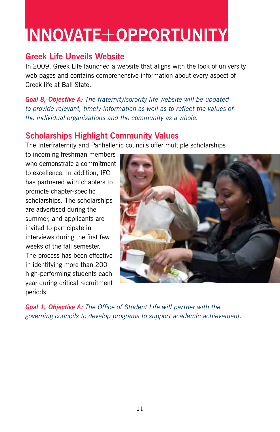### **INNOVATE**+**OPPORTUNITY**

#### **Greek Life Unveils Website**

In 2009, Greek Life launched a website that aligns with the look of university web pages and contains comprehensive information about every aspect of Greek life at Ball State.

*Goal 8, Objective A: The fraternity/sorority life website will be updated to provide relevant, timely information as well as to reflect the values of the individual organizations and the community as a whole.*

#### **Scholarships Highlight Community Values**

The Interfraternity and Panhellenic councils offer multiple scholarships

to incoming freshman members who demonstrate a commitment to excellence. In addition, IFC has partnered with chapters to promote chapter-specific scholarships. The scholarships are advertised during the summer, and applicants are invited to participate in interviews during the first few weeks of the fall semester. The process has been effective in identifying more than 200 high-performing students each year during critical recruitment periods.



*Goal 1, Objective A: The Office of Student Life will partner with the governing councils to develop programs to support academic achievement.*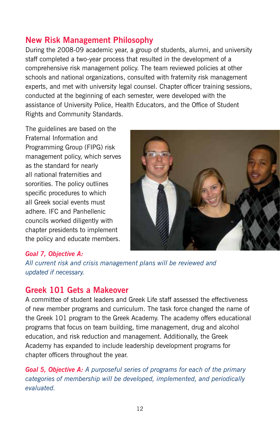#### **New Risk Management Philosophy**

During the 2008-09 academic year, a group of students, alumni, and university staff completed a two-year process that resulted in the development of a comprehensive risk management policy. The team reviewed policies at other schools and national organizations, consulted with fraternity risk management experts, and met with university legal counsel. Chapter officer training sessions, conducted at the beginning of each semester, were developed with the assistance of University Police, Health Educators, and the Office of Student Rights and Community Standards.

The guidelines are based on the Fraternal Information and Programming Group (FIPG) risk management policy, which serves as the standard for nearly all national fraternities and sororities. The policy outlines specific procedures to which all Greek social events must adhere. IFC and Panhellenic councils worked diligently with chapter presidents to implement the policy and educate members.



#### *Goal 7, Objective A:*

*All current risk and crisis management plans will be reviewed and updated if necessary.* 

#### **Greek 101 Gets a Makeover**

A committee of student leaders and Greek Life staff assessed the effectiveness of new member programs and curriculum. The task force changed the name of the Greek 101 program to the Greek Academy. The academy offers educational programs that focus on team building, time management, drug and alcohol education, and risk reduction and management. Additionally, the Greek Academy has expanded to include leadership development programs for chapter officers throughout the year.

*Goal 5, Objective A: A purposeful series of programs for each of the primary categories of membership will be developed, implemented, and periodically evaluated.*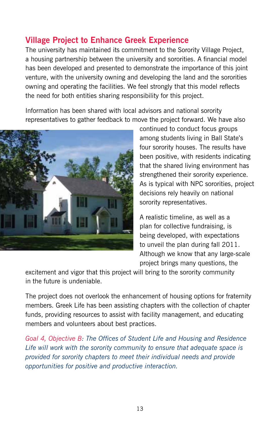#### **Village Project to Enhance Greek Experience**

The university has maintained its commitment to the Sorority Village Project, a housing partnership between the university and sororities. A financial model has been developed and presented to demonstrate the importance of this joint venture, with the university owning and developing the land and the sororities owning and operating the facilities. We feel strongly that this model reflects the need for both entities sharing responsibility for this project.

Information has been shared with local advisors and national sorority representatives to gather feedback to move the project forward. We have also



continued to conduct focus groups among students living in Ball State's four sorority houses. The results have been positive, with residents indicating that the shared living environment has strengthened their sorority experience. As is typical with NPC sororities, project decisions rely heavily on national sorority representatives.

A realistic timeline, as well as a plan for collective fundraising, is being developed, with expectations to unveil the plan during fall 2011. Although we know that any large-scale project brings many questions, the

excitement and vigor that this project will bring to the sorority community in the future is undeniable.

The project does not overlook the enhancement of housing options for fraternity members. Greek Life has been assisting chapters with the collection of chapter funds, providing resources to assist with facility management, and educating members and volunteers about best practices.

*Goal 4, Objective B: The Offices of Student Life and Housing and Residence Life will work with the sorority community to ensure that adequate space is provided for sorority chapters to meet their individual needs and provide opportunities for positive and productive interaction.*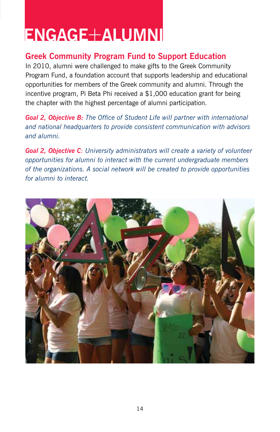### **ENGAGE**+**ALUMNI**

#### **Greek Community Program Fund to Support Education**

In 2010, alumni were challenged to make gifts to the Greek Community Program Fund, a foundation account that supports leadership and educational opportunities for members of the Greek community and alumni. Through the incentive program, Pi Beta Phi received a \$1,000 education grant for being the chapter with the highest percentage of alumni participation.

*Goal 2, Objective B: The Office of Student Life will partner with international and national headquarters to provide consistent communication with advisors and alumni.*

*Goal 2, Objective C: University administrators will create a variety of volunteer opportunities for alumni to interact with the current undergraduate members of the organizations. A social network will be created to provide opportunities for alumni to interact.* 

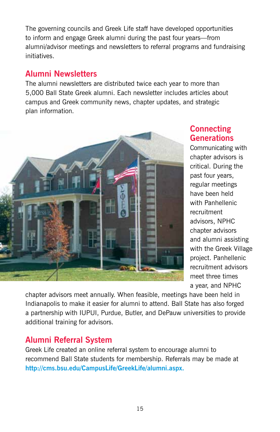The governing councils and Greek Life staff have developed opportunities to inform and engage Greek alumni during the past four years—from alumni/advisor meetings and newsletters to referral programs and fundraising initiatives.

#### **Alumni Newsletters**

The alumni newsletters are distributed twice each year to more than 5,000 Ball State Greek alumni. Each newsletter includes articles about campus and Greek community news, chapter updates, and strategic plan information.



#### **Connecting Generations**

Communicating with chapter advisors is critical. During the past four years, regular meetings have been held with Panhellenic recruitment advisors, NPHC chapter advisors and alumni assisting with the Greek Village project. Panhellenic recruitment advisors meet three times a year, and NPHC

chapter advisors meet annually. When feasible, meetings have been held in Indianapolis to make it easier for alumni to attend. Ball State has also forged a partnership with IUPUI, Purdue, Butler, and DePauw universities to provide additional training for advisors.

#### **Alumni Referral System**

Greek Life created an online referral system to encourage alumni to recommend Ball State students for membership. Referrals may be made at **http://cms.bsu.edu/CampusLife/GreekLife/alumni.aspx.**